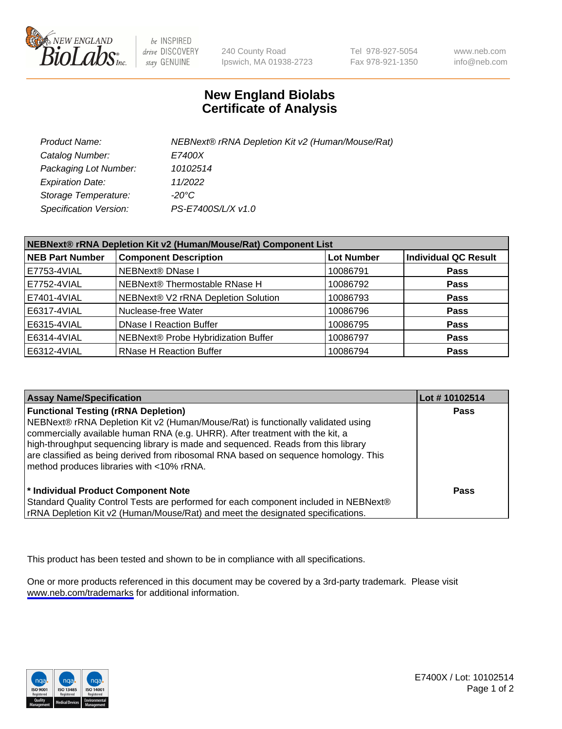

be INSPIRED drive DISCOVERY stay GENUINE

240 County Road Ipswich, MA 01938-2723 Tel 978-927-5054 Fax 978-921-1350

www.neb.com info@neb.com

## **New England Biolabs Certificate of Analysis**

| Product Name:                 | NEBNext® rRNA Depletion Kit v2 (Human/Mouse/Rat) |
|-------------------------------|--------------------------------------------------|
| Catalog Number:               | <i>E7400X</i>                                    |
| Packaging Lot Number:         | 10102514                                         |
| <b>Expiration Date:</b>       | 11/2022                                          |
| Storage Temperature:          | -20°C                                            |
| <b>Specification Version:</b> | PS-E7400S/L/X v1.0                               |

| NEBNext® rRNA Depletion Kit v2 (Human/Mouse/Rat) Component List |                                     |                   |                             |  |
|-----------------------------------------------------------------|-------------------------------------|-------------------|-----------------------------|--|
| <b>NEB Part Number</b>                                          | <b>Component Description</b>        | <b>Lot Number</b> | <b>Individual QC Result</b> |  |
| E7753-4VIAL                                                     | <b>NEBNext® DNase I</b>             | 10086791          | <b>Pass</b>                 |  |
| E7752-4VIAL                                                     | NEBNext® Thermostable RNase H       | 10086792          | <b>Pass</b>                 |  |
| E7401-4VIAL                                                     | NEBNext® V2 rRNA Depletion Solution | 10086793          | <b>Pass</b>                 |  |
| E6317-4VIAL                                                     | Nuclease-free Water                 | 10086796          | <b>Pass</b>                 |  |
| E6315-4VIAL                                                     | <b>DNase I Reaction Buffer</b>      | 10086795          | <b>Pass</b>                 |  |
| E6314-4VIAL                                                     | NEBNext® Probe Hybridization Buffer | 10086797          | <b>Pass</b>                 |  |
| E6312-4VIAL                                                     | <b>RNase H Reaction Buffer</b>      | 10086794          | <b>Pass</b>                 |  |

| <b>Assay Name/Specification</b>                                                                                                                                                                                                                                                                                                                                                                                                          | Lot #10102514 |
|------------------------------------------------------------------------------------------------------------------------------------------------------------------------------------------------------------------------------------------------------------------------------------------------------------------------------------------------------------------------------------------------------------------------------------------|---------------|
| <b>Functional Testing (rRNA Depletion)</b><br>NEBNext® rRNA Depletion Kit v2 (Human/Mouse/Rat) is functionally validated using<br>commercially available human RNA (e.g. UHRR). After treatment with the kit, a<br>high-throughput sequencing library is made and sequenced. Reads from this library<br>are classified as being derived from ribosomal RNA based on sequence homology. This<br>method produces libraries with <10% rRNA. | <b>Pass</b>   |
| * Individual Product Component Note<br>Standard Quality Control Tests are performed for each component included in NEBNext®<br>rRNA Depletion Kit v2 (Human/Mouse/Rat) and meet the designated specifications.                                                                                                                                                                                                                           | Pass          |

This product has been tested and shown to be in compliance with all specifications.

One or more products referenced in this document may be covered by a 3rd-party trademark. Please visit <www.neb.com/trademarks>for additional information.